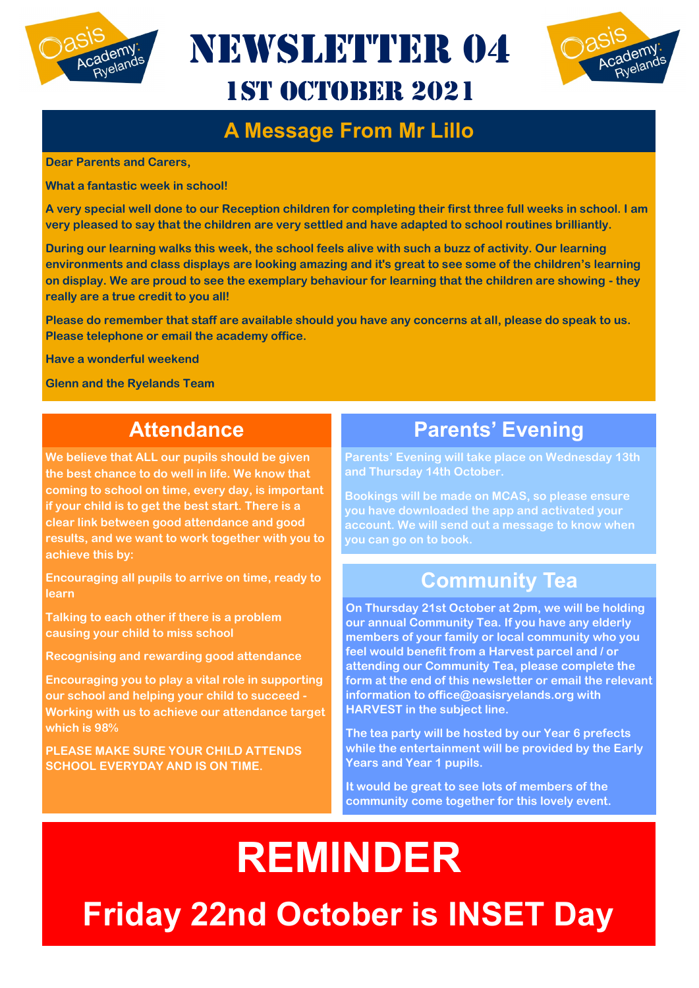

NEWSLETTER 04 1st October 2021



#### **A Message From Mr Lillo**

**Dear Parents and Carers,**

**What a fantastic week in school!** 

**A very special well done to our Reception children for completing their first three full weeks in school. I am very pleased to say that the children are very settled and have adapted to school routines brilliantly.** 

**During our learning walks this week, the school feels alive with such a buzz of activity. Our learning environments and class displays are looking amazing and it's great to see some of the children's learning on display. We are proud to see the exemplary behaviour for learning that the children are showing - they really are a true credit to you all!** 

**Please do remember that staff are available should you have any concerns at all, please do speak to us. Please telephone or email the academy office.**

**Have a wonderful weekend**

**Glenn and the Ryelands Team**

#### **Attendance**

**We believe that ALL our pupils should be given the best chance to do well in life. We know that coming to school on time, every day, is important if your child is to get the best start. There is a clear link between good attendance and good results, and we want to work together with you to achieve this by:** 

**Encouraging all pupils to arrive on time, ready to learn** 

**Talking to each other if there is a problem causing your child to miss school** 

**Recognising and rewarding good attendance** 

**Encouraging you to play a vital role in supporting our school and helping your child to succeed - Working with us to achieve our attendance target which is 98%** 

**PLEASE MAKE SURE YOUR CHILD ATTENDS SCHOOL EVERYDAY AND IS ON TIME.**

#### **Parents' Evening**

**Parents' Evening will take place on Wednesday 13th and Thursday 14th October.** 

**Bookings will be made on MCAS, so please ensure you have downloaded the app and activated your account. We will send out a message to know when you can go on to book.**

#### **Community Tea**

**On Thursday 21st October at 2pm, we will be holding our annual Community Tea. If you have any elderly members of your family or local community who you feel would benefit from a Harvest parcel and / or attending our Community Tea, please complete the form at the end of this newsletter or email the relevant information to office@oasisryelands.org with HARVEST in the subject line.**

**The tea party will be hosted by our Year 6 prefects while the entertainment will be provided by the Early Years and Year 1 pupils.**

**It would be great to see lots of members of the community come together for this lovely event.**

# **REMINDER Friday 22nd October is INSET Day**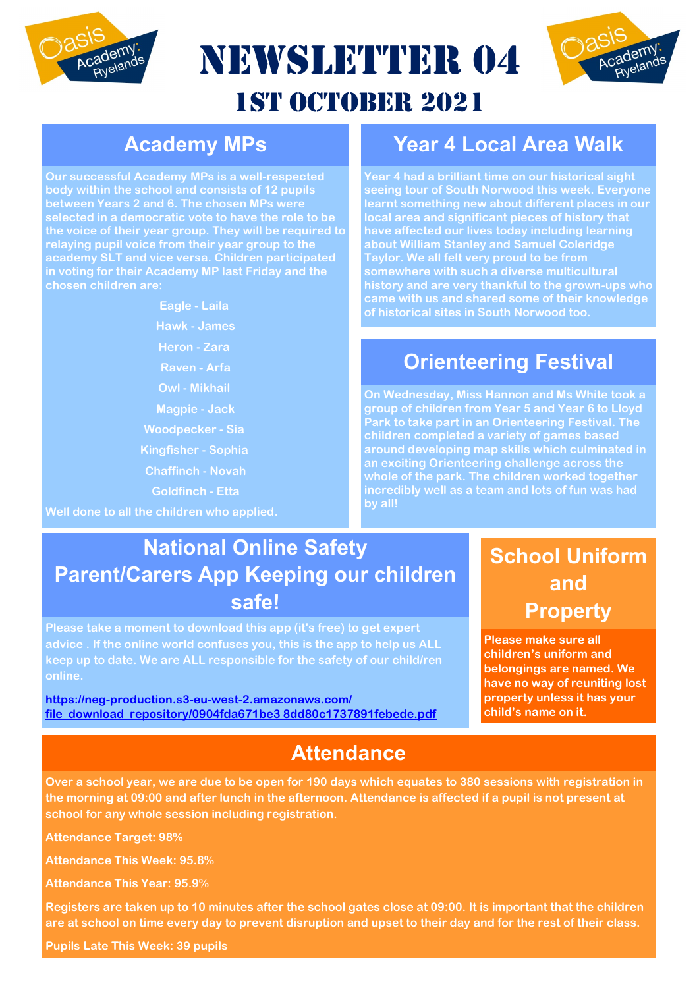

NEWSLETTER 04

# Academy

## 1st October 2021

#### **Academy MPs**

**Our successful Academy MPs is a well-respected body within the school and consists of 12 pupils between Years 2 and 6. The chosen MPs were relaying pupil voice from their year group to the academy SLT and vice versa. Children participated in voting for their Academy MP last Friday and the chosen children are:**

**Eagle - Laila**

**Hawk - James**

**Heron - Zara**

**Raven - Arfa**

**Owl - Mikhail**

**Magpie - Jack**

**Woodpecker - Sia**

**Kingfisher - Sophia**

**Chaffinch - Novah**

**Goldfinch - Etta**

**Well done to all the children who applied.**

#### **Year 4 Local Area Walk**

**Year 4 had a brilliant time on our historical sight seeing tour of South Norwood this week. Everyone learnt something new about different places in our local area and significant pieces of history that have affected our lives today including learning about William Stanley and Samuel Coleridge Taylor. We all felt very proud to be from history and are very thankful to the grown-ups who came with us and shared some of their knowledge of historical sites in South Norwood too.** 

#### **Orienteering Festival**

**On Wednesday, Miss Hannon and Ms White took a group of children from Year 5 and Year 6 to Lloyd Park to take part in an Orienteering Festival. The children completed a variety of games based around developing map skills which culminated in an exciting Orienteering challenge across the whole of the park. The children worked together incredibly well as a team and lots of fun was had by all!**

#### **National Online Safety Parent/Carers App Keeping our children safe!**

**Please take a moment to download this app (it's free) to get expert advice . If the online world confuses you, this is the app to help us ALL keep up to date. We are ALL responsible for the safety of our child/ren online.** 

**[https://neg-production.s3-eu-west-2.amazonaws.com/](https://neg-production.s3-eu-west-2.amazonaws.com/file_download_repository/0904fda671be3%208dd80c1737891febede.pdf) [file\\_download\\_repository/0904fda671be3 8dd80c1737891febede.pdf](https://neg-production.s3-eu-west-2.amazonaws.com/file_download_repository/0904fda671be3%208dd80c1737891febede.pdf)**

#### **Attendance**

#### **School Uniform and Property**

**Please make sure all children's uniform and belongings are named. We have no way of reuniting lost property unless it has your child's name on it.**

**Over a school year, we are due to be open for 190 days which equates to 380 sessions with registration in the morning at 09:00 and after lunch in the afternoon. Attendance is affected if a pupil is not present at school for any whole session including registration.**

**Attendance Target: 98%**

**Attendance This Week: 95.8%**

**Attendance This Year: 95.9%**

**Registers are taken up to 10 minutes after the school gates close at 09:00. It is important that the children are at school on time every day to prevent disruption and upset to their day and for the rest of their class.**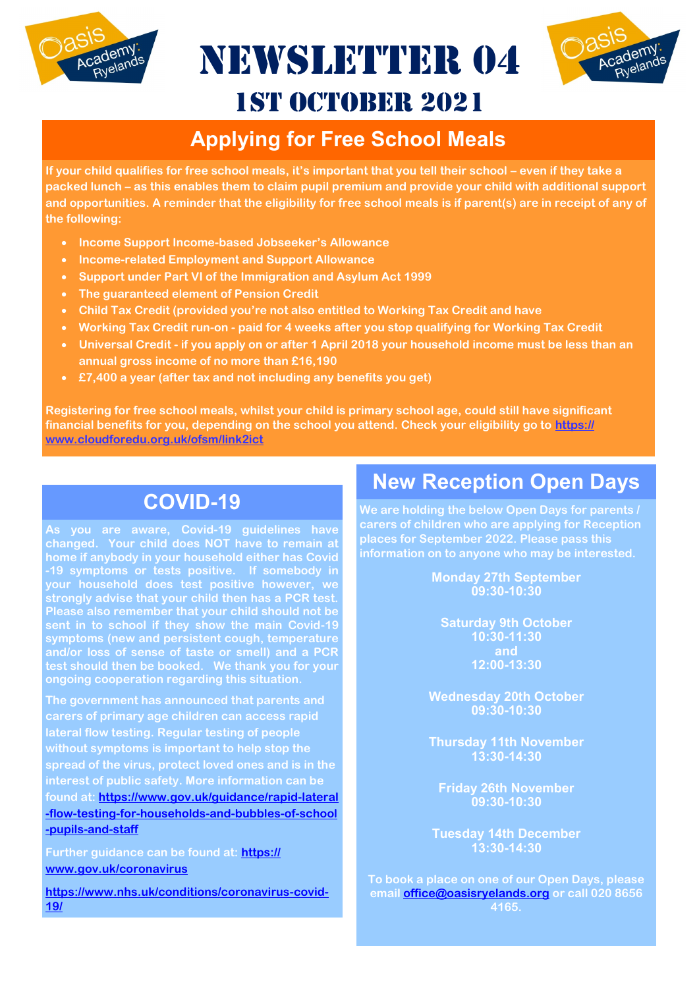

NEWSLETTER 04



## 1st October 2021

#### **Applying for Free School Meals**

**If your child qualifies for free school meals, it's important that you tell their school – even if they take a packed lunch – as this enables them to claim pupil premium and provide your child with additional support and opportunities. A reminder that the eligibility for free school meals is if parent(s) are in receipt of any of the following:**

- **Income Support Income-based Jobseeker's Allowance**
- **Income-related Employment and Support Allowance**
- **Support under Part VI of the Immigration and Asylum Act 1999**
- **The guaranteed element of Pension Credit**
- **Child Tax Credit (provided you're not also entitled to Working Tax Credit and have**
- **Working Tax Credit run-on - paid for 4 weeks after you stop qualifying for Working Tax Credit**
- **Universal Credit - if you apply on or after 1 April 2018 your household income must be less than an annual gross income of no more than £16,190**
- **£7,400 a year (after tax and not including any benefits you get)**

**Registering for free school meals, whilst your child is primary school age, could still have significant financial benefits for you, depending on the school you attend. Check your eligibility go to [https://](https://www.cloudforedu.org.uk/ofsm/link2ict) [www.cloudforedu.org.uk/ofsm/link2ict](https://www.cloudforedu.org.uk/ofsm/link2ict)**

#### **COVID-19**

**As you are aware, Covid-19 guidelines have changed. Your child does NOT have to remain at home if anybody in your household either has Covid -19 symptoms or tests positive. If somebody in your household does test positive however, we strongly advise that your child then has a PCR test. Please also remember that your child should not be symptoms (new and persistent cough, temperature and/or loss of sense of taste or smell) and a PCR ongoing cooperation regarding this situation.**

**The government has announced that parents and carers of primary age children can access rapid lateral flow testing. Regular testing of people without symptoms is important to help stop the spread of the virus, protect loved ones and is in the interest of public safety. More information can be found at: [https://www.gov.uk/guidance/rapid-lateral](https://www.gov.uk/guidance/rapid-lateral-flow-testing-for-households-and-bubbles-of-school-pupils-and-staff) [-flow-testing-for-households-and-bubbles-of-school](https://www.gov.uk/guidance/rapid-lateral-flow-testing-for-households-and-bubbles-of-school-pupils-and-staff) [-pupils-and-staff](https://www.gov.uk/guidance/rapid-lateral-flow-testing-for-households-and-bubbles-of-school-pupils-and-staff)**

**Further guidance can be found at: [https://](https://www.gov.uk/coronavirus) [www.gov.uk/coronavirus](https://www.gov.uk/coronavirus)**

**[https://www.nhs.uk/conditions/coronavirus-covid-](https://www.nhs.uk/conditions/coronavirus-covid-19/)[19/](https://www.nhs.uk/conditions/coronavirus-covid-19/)**

#### **New Reception Open Days**

**We are holding the below Open Days for parents / carers of children who are applying for Reception places for September 2022. Please pass this information on to anyone who may be interested.**

> **Monday 27th September 09:30-10:30**

**Saturday 9th October 10:30-11:30 and 12:00-13:30**

**Wednesday 20th October 09:30-10:30**

**Thursday 11th November 13:30-14:30**

**Friday 26th November 09:30-10:30**

**Tuesday 14th December 13:30-14:30**

**To book a place on one of our Open Days, please email [office@oasisryelands.org](mailto:office@oasisryelands.org) or call 020 8656 4165.**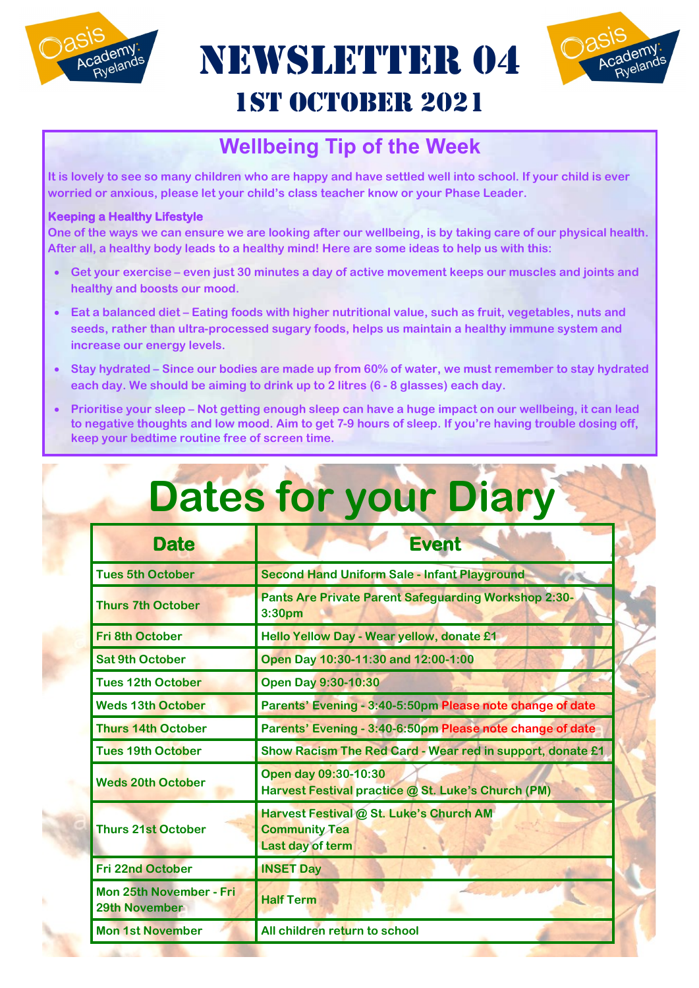

NEWSLETTER 04 1st October 2021



#### **Wellbeing Tip of the Week**

**It is lovely to see so many children who are happy and have settled well into school. If your child is ever worried or anxious, please let your child's class teacher know or your Phase Leader.** 

#### **Keeping a Healthy Lifestyle**

**One of the ways we can ensure we are looking after our wellbeing, is by taking care of our physical health. After all, a healthy body leads to a healthy mind! Here are some ideas to help us with this:** 

- **Get your exercise – even just 30 minutes a day of active movement keeps our muscles and joints and healthy and boosts our mood.**
- **Eat a balanced diet – Eating foods with higher nutritional value, such as fruit, vegetables, nuts and seeds, rather than ultra-processed sugary foods, helps us maintain a healthy immune system and increase our energy levels.**
- **Stay hydrated – Since our bodies are made up from 60% of water, we must remember to stay hydrated each day. We should be aiming to drink up to 2 litres (6 - 8 glasses) each day.**
- **Prioritise your sleep – Not getting enough sleep can have a huge impact on our wellbeing, it can lead to negative thoughts and low mood. Aim to get 7-9 hours of sleep. If you're having trouble dosing off, keep your bedtime routine free of screen time.**

| <b>Dates for your Diary</b>                            |                                                                                     |  |  |  |
|--------------------------------------------------------|-------------------------------------------------------------------------------------|--|--|--|
| <b>Date</b>                                            | <b>Event</b>                                                                        |  |  |  |
| <b>Tues 5th October</b>                                | <b>Second Hand Uniform Sale - Infant Playground</b>                                 |  |  |  |
| <b>Thurs 7th October</b>                               | <b>Pants Are Private Parent Safeguarding Workshop 2:30-</b><br>3:30 <sub>pm</sub>   |  |  |  |
| <b>Fri 8th October</b>                                 | Hello Yellow Day - Wear yellow, donate £1                                           |  |  |  |
| <b>Sat 9th October</b>                                 | Open Day 10:30-11:30 and 12:00-1:00                                                 |  |  |  |
| <b>Tues 12th October</b>                               | <b>Open Day 9:30-10:30</b>                                                          |  |  |  |
| <b>Weds 13th October</b>                               | Parents' Evening - 3:40-5:50pm Please note change of date                           |  |  |  |
| <b>Thurs 14th October</b>                              | Parents' Evening - 3:40-6:50pm Please note change of date                           |  |  |  |
| <b>Tues 19th October</b>                               | Show Racism The Red Card - Wear red in support, donate £1                           |  |  |  |
| <b>Weds 20th October</b>                               | Open day 09:30-10:30<br>Harvest Festival practice @ St. Luke's Church (PM)          |  |  |  |
| <b>Thurs 21st October</b>                              | Harvest Festival @ St. Luke's Church AM<br><b>Community Tea</b><br>Last day of term |  |  |  |
| <b>Fri 22nd October</b>                                | <b>INSET Day</b>                                                                    |  |  |  |
| <b>Mon 25th November - Fri</b><br><b>29th November</b> | <b>Half Term</b>                                                                    |  |  |  |
| <b>Mon 1st November</b>                                | All children return to school                                                       |  |  |  |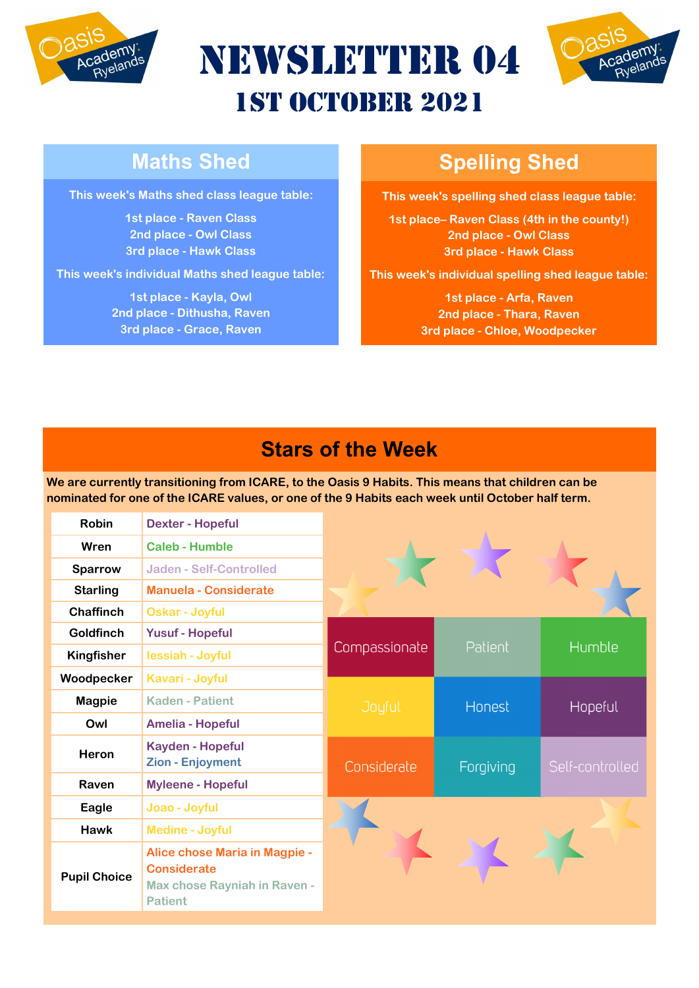





#### **Maths Shed**

**This week's Maths shed class league table:**

**1st place - Raven Class 2nd place - Owl Class 3rd place - Hawk Class**

**This week's individual Maths shed league table:**

**1st place - Kayla, Owl 2nd place - Dithusha, Raven 3rd place - Grace, Raven**

### **Spelling Shed**

**This week's spelling shed class league table:**

**1st place– Raven Class (4th in the county!) 2nd place - Owl Class 3rd place - Hawk Class**

**This week's individual spelling shed league table:**

**1st place - Arfa, Raven 2nd place - Thara, Raven 3rd place - Chloe, Woodpecker**

#### **Stars of the Week**

**We are currently transitioning from ICARE, to the Oasis 9 Habits. This means that children can be nominated for one of the ICARE values, or one of the 9 Habits each week until October half term.**

| <b>Robin</b>        | <b>Dexter - Hopeful</b>                                                                               |               |           |                 |  |
|---------------------|-------------------------------------------------------------------------------------------------------|---------------|-----------|-----------------|--|
| Wren                | <b>Caleb - Humble</b>                                                                                 |               |           |                 |  |
| <b>Sparrow</b>      | Jaden - Self-Controlled                                                                               |               |           |                 |  |
| <b>Starling</b>     | Manuela - Considerate                                                                                 |               |           |                 |  |
| <b>Chaffinch</b>    | <b>Oskar - Joyful</b>                                                                                 |               |           |                 |  |
| <b>Goldfinch</b>    | <b>Yusuf - Hopeful</b>                                                                                |               | Patient   | Humble          |  |
| <b>Kingfisher</b>   | lessiah - Joyful                                                                                      | Compassionate |           |                 |  |
| Woodpecker          | Kavari - Joyful                                                                                       |               |           |                 |  |
| <b>Magpie</b>       | <b>Kaden - Patient</b>                                                                                | Joyful        | Honest    | Hopeful         |  |
| Owl                 | <b>Amelia - Hopeful</b>                                                                               |               |           |                 |  |
| Heron               | <b>Kayden - Hopeful</b><br>Zion - Enjoyment                                                           | Considerate   | Forgiving | Self-controlled |  |
| Raven               | <b>Myleene - Hopeful</b>                                                                              |               |           |                 |  |
| Eagle               | Joao - Joyful                                                                                         |               |           |                 |  |
| <b>Hawk</b>         | <b>Medine - Joyful</b>                                                                                |               |           |                 |  |
| <b>Pupil Choice</b> | Alice chose Maria in Magpie -<br><b>Considerate</b><br>Max chose Rayniah in Raven -<br><b>Patient</b> |               |           |                 |  |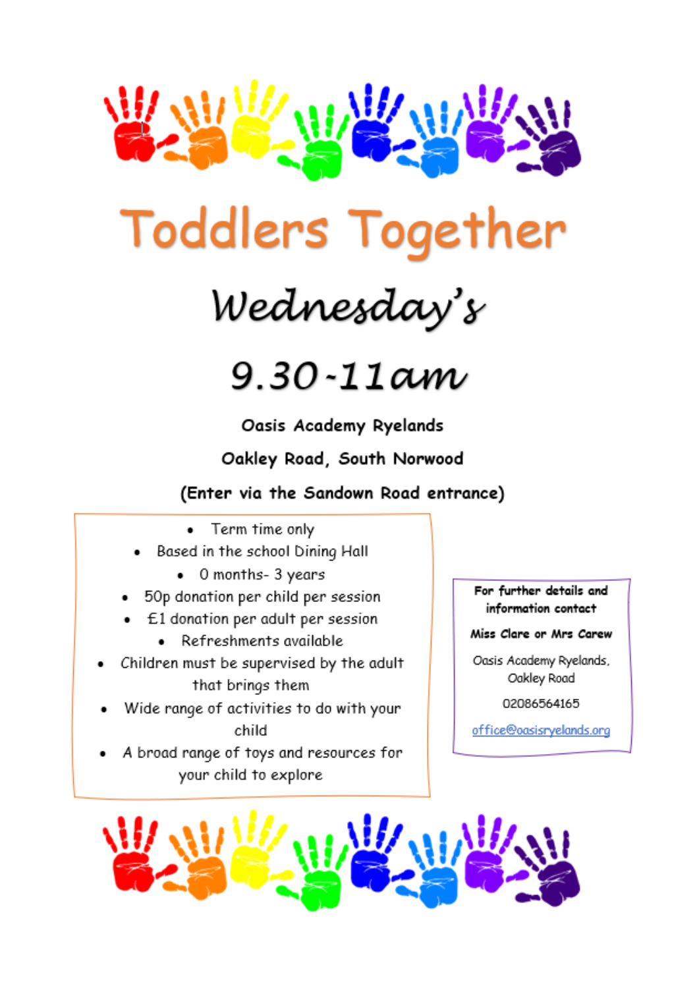



Wednesday's



Oasis Academy Ryelands

Oakley Road, South Norwood

(Enter via the Sandown Road entrance)

- Term time only
- Based in the school Dining Hall
	- 0 months- 3 years  $\bullet$
- 50p donation per child per session
- E1 donation per adult per session
	- Refreshments available  $\bullet$
- Children must be supervised by the adult that brings them
- Wide range of activities to do with your child
- A broad range of toys and resources for your child to explore

For further details and information contact

Miss Clare or Mrs Carew

Oasis Academy Ryelands, Oakley Road

02086564165

office@oasisryelands.org

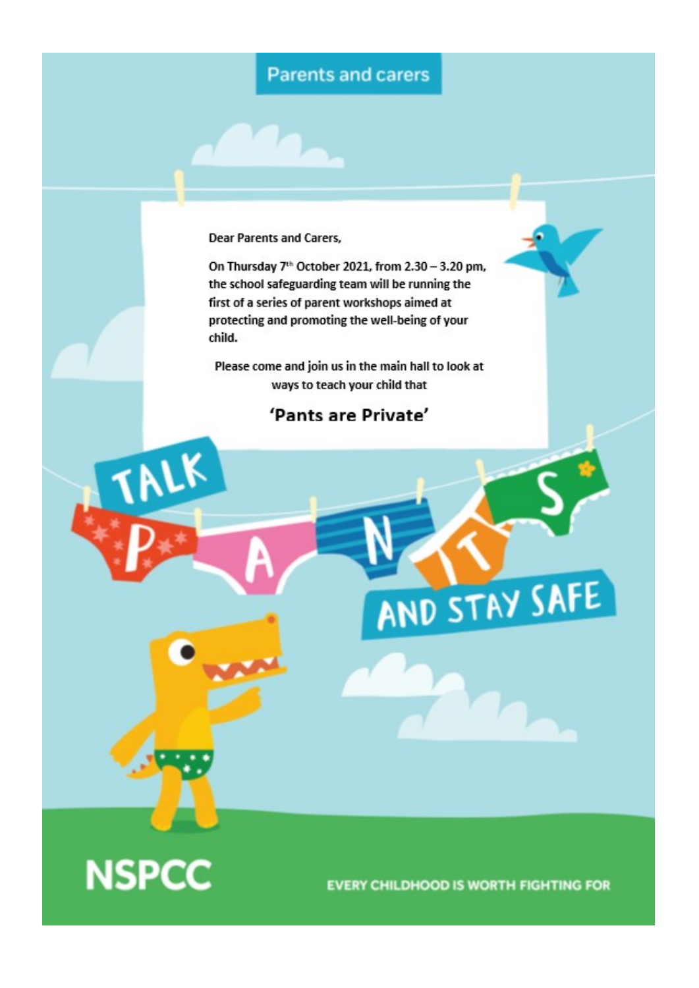#### **Parents and carers**

**Dear Parents and Carers,** 

On Thursday 7<sup>th</sup> October 2021, from 2.30 - 3.20 pm, the school safeguarding team will be running the first of a series of parent workshops aimed at protecting and promoting the well-being of your child.

Please come and join us in the main hall to look at ways to teach your child that

#### 'Pants are Private'



nrk

**EVERY CHILDHOOD IS WORTH FIGHTING FOR** 

AND STAY SAFE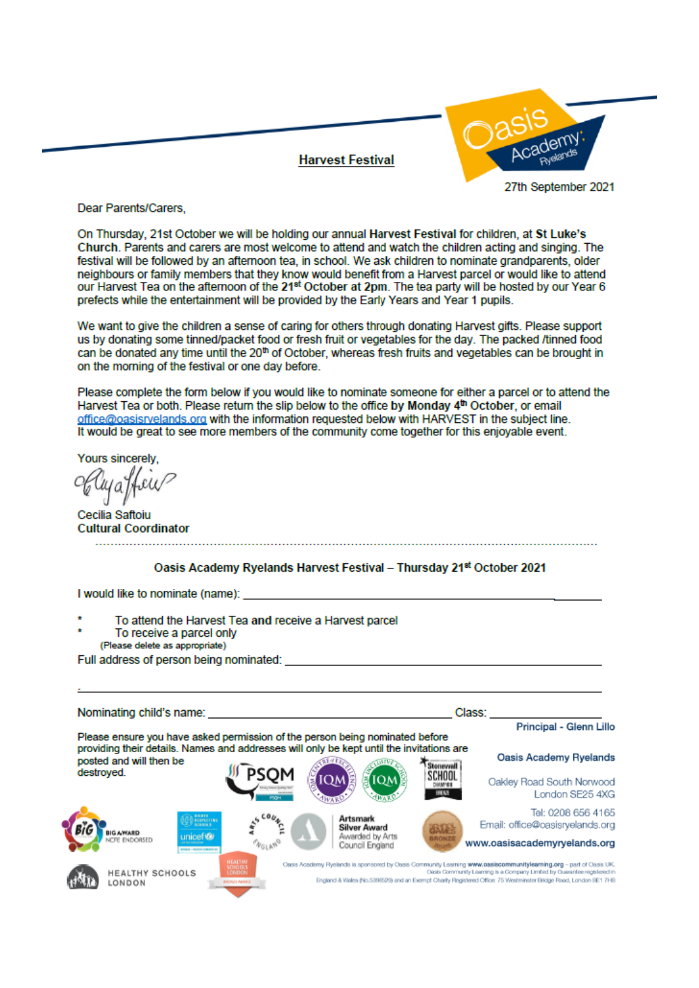#### **Harvest Festival**



Dear Parents/Carers.

On Thursday, 21st October we will be holding our annual Harvest Festival for children, at St Luke's Church. Parents and carers are most welcome to attend and watch the children acting and singing. The festival will be followed by an afternoon tea, in school. We ask children to nominate grandparents, older neighbours or family members that they know would benefit from a Harvest parcel or would like to attend our Harvest Tea on the afternoon of the 21<sup>st</sup> October at 2pm. The tea party will be hosted by our Year 6 prefects while the entertainment will be provided by the Early Years and Year 1 pupils.

We want to give the children a sense of caring for others through donating Harvest gifts. Please support us by donating some tinned/packet food or fresh fruit or vegetables for the day. The packed /tinned food can be donated any time until the 20<sup>th</sup> of October, whereas fresh fruits and vegetables can be brought in on the morning of the festival or one day before.

Please complete the form below if you would like to nominate someone for either a parcel or to attend the Harvest Tea or both. Please return the slip below to the office by Monday 4<sup>th</sup> October, or email office@oasisrvelands.org with the information requested below with HARVEST in the subject line. It would be great to see more members of the community come together for this enjoyable event.

Yours sincerely

Cecilia Saftoiu **Cultural Coordinator**